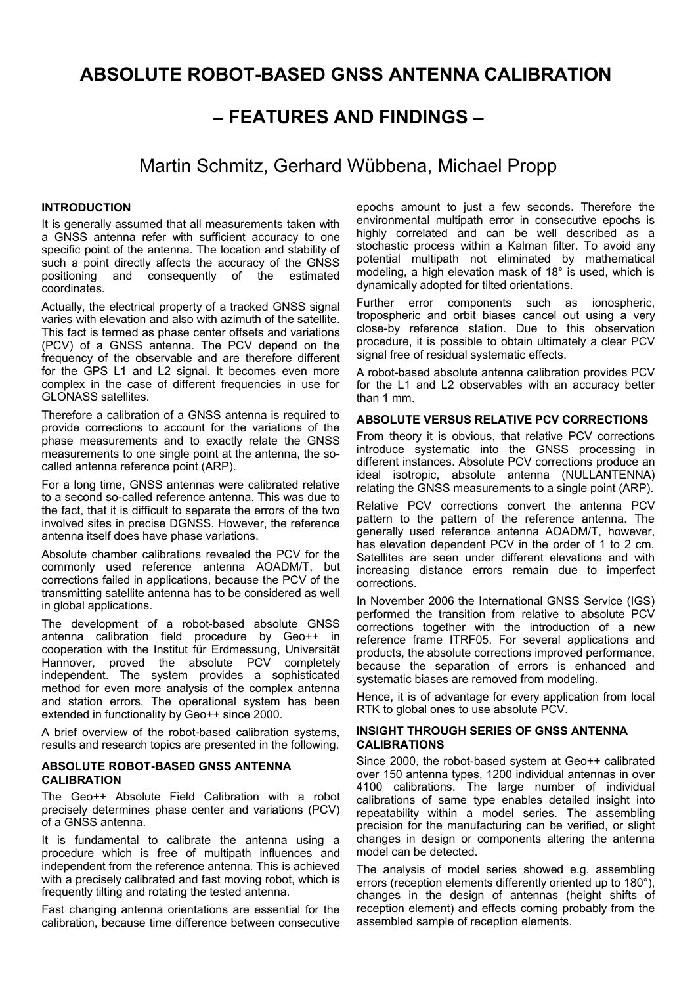# **ABSOLUTE ROBOT-BASED GNSS ANTENNA CALIBRATION**

## **– FEATURES AND FINDINGS –**

## Martin Schmitz, Gerhard Wübbena, Michael Propp

#### **INTRODUCTION**

It is generally assumed that all measurements taken with a GNSS antenna refer with sufficient accuracy to one specific point of the antenna. The location and stability of such a point directly affects the accuracy of the GNSS positioning and consequently of the estimated coordinates.

Actually, the electrical property of a tracked GNSS signal varies with elevation and also with azimuth of the satellite. This fact is termed as phase center offsets and variations (PCV) of a GNSS antenna. The PCV depend on the frequency of the observable and are therefore different for the GPS L1 and L2 signal. It becomes even more complex in the case of different frequencies in use for GLONASS satellites.

Therefore a calibration of a GNSS antenna is required to provide corrections to account for the variations of the phase measurements and to exactly relate the GNSS measurements to one single point at the antenna, the socalled antenna reference point (ARP).

For a long time, GNSS antennas were calibrated relative to a second so-called reference antenna. This was due to the fact, that it is difficult to separate the errors of the two involved sites in precise DGNSS. However, the reference antenna itself does have phase variations.

Absolute chamber calibrations revealed the PCV for the commonly used reference antenna AOADM/T, but corrections failed in applications, because the PCV of the transmitting satellite antenna has to be considered as well in global applications.

The development of a robot-based absolute GNSS antenna calibration field procedure by Geo++ in cooperation with the Institut für Erdmessung, Universität Hannover, proved the absolute PCV completely independent. The system provides a sophisticated method for even more analysis of the complex antenna and station errors. The operational system has been extended in functionality by Geo++ since 2000.

A brief overview of the robot-based calibration systems, results and research topics are presented in the following.

#### **ABSOLUTE ROBOT-BASED GNSS ANTENNA CALIBRATION**

The Geo++ Absolute Field Calibration with a robot precisely determines phase center and variations (PCV) of a GNSS antenna.

It is fundamental to calibrate the antenna using a procedure which is free of multipath influences and independent from the reference antenna. This is achieved with a precisely calibrated and fast moving robot, which is frequently tilting and rotating the tested antenna.

Fast changing antenna orientations are essential for the calibration, because time difference between consecutive epochs amount to just a few seconds. Therefore the environmental multipath error in consecutive epochs is highly correlated and can be well described as a stochastic process within a Kalman filter. To avoid any potential multipath not eliminated by mathematical modeling, a high elevation mask of 18° is used, which is dynamically adopted for tilted orientations.

Further error components such as ionospheric, tropospheric and orbit biases cancel out using a very close-by reference station. Due to this observation procedure, it is possible to obtain ultimately a clear PCV signal free of residual systematic effects.

A robot-based absolute antenna calibration provides PCV for the L1 and L2 observables with an accuracy better than 1 mm.

### **ABSOLUTE VERSUS RELATIVE PCV CORRECTIONS**

From theory it is obvious, that relative PCV corrections introduce systematic into the GNSS processing in different instances. Absolute PCV corrections produce an ideal isotropic, absolute antenna (NULLANTENNA) relating the GNSS measurements to a single point (ARP).

Relative PCV corrections convert the antenna PCV pattern to the pattern of the reference antenna. The generally used reference antenna AOADM/T, however, has elevation dependent PCV in the order of 1 to 2 cm. Satellites are seen under different elevations and with increasing distance errors remain due to imperfect corrections.

In November 2006 the International GNSS Service (IGS) performed the transition from relative to absolute PCV corrections together with the introduction of a new reference frame ITRF05. For several applications and products, the absolute corrections improved performance, because the separation of errors is enhanced and systematic biases are removed from modeling.

Hence, it is of advantage for every application from local RTK to global ones to use absolute PCV.

## **INSIGHT THROUGH SERIES OF GNSS ANTENNA CALIBRATIONS**

Since 2000, the robot-based system at Geo++ calibrated over 150 antenna types, 1200 individual antennas in over 4100 calibrations. The large number of individual calibrations of same type enables detailed insight into repeatability within a model series. The assembling precision for the manufacturing can be verified, or slight changes in design or components altering the antenna model can be detected.

The analysis of model series showed e.g. assembling errors (reception elements differently oriented up to 180°), changes in the design of antennas (height shifts of reception element) and effects coming probably from the assembled sample of reception elements.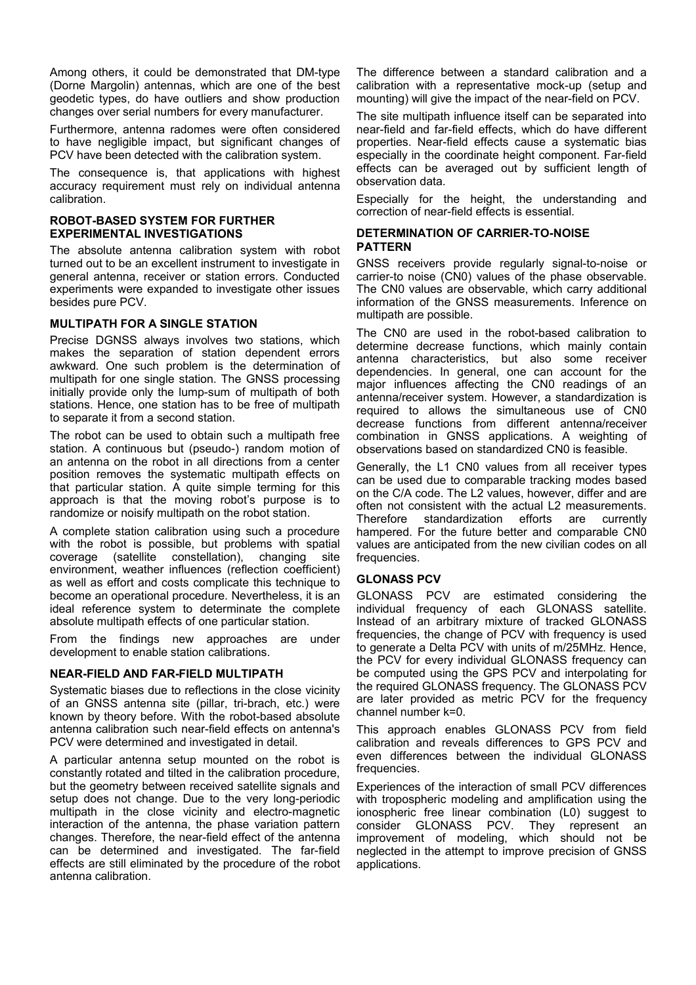Among others, it could be demonstrated that DM-type (Dorne Margolin) antennas, which are one of the best geodetic types, do have outliers and show production changes over serial numbers for every manufacturer.

Furthermore, antenna radomes were often considered to have negligible impact, but significant changes of PCV have been detected with the calibration system.

The consequence is, that applications with highest accuracy requirement must rely on individual antenna calibration.

#### **ROBOT-BASED SYSTEM FOR FURTHER EXPERIMENTAL INVESTIGATIONS**

The absolute antenna calibration system with robot turned out to be an excellent instrument to investigate in general antenna, receiver or station errors. Conducted experiments were expanded to investigate other issues besides pure PCV.

## **MULTIPATH FOR A SINGLE STATION**

Precise DGNSS always involves two stations, which makes the separation of station dependent errors awkward. One such problem is the determination of multipath for one single station. The GNSS processing initially provide only the lump-sum of multipath of both stations. Hence, one station has to be free of multipath to separate it from a second station.

The robot can be used to obtain such a multipath free station. A continuous but (pseudo-) random motion of an antenna on the robot in all directions from a center position removes the systematic multipath effects on that particular station. A quite simple terming for this approach is that the moving robot's purpose is to randomize or noisify multipath on the robot station.

A complete station calibration using such a procedure with the robot is possible, but problems with spatial coverage (satellite constellation), changing site environment, weather influences (reflection coefficient) as well as effort and costs complicate this technique to become an operational procedure. Nevertheless, it is an ideal reference system to determinate the complete absolute multipath effects of one particular station.

From the findings new approaches are under development to enable station calibrations.

#### **NEAR-FIELD AND FAR-FIELD MULTIPATH**

Systematic biases due to reflections in the close vicinity of an GNSS antenna site (pillar, tri-brach, etc.) were known by theory before. With the robot-based absolute antenna calibration such near-field effects on antenna's PCV were determined and investigated in detail.

A particular antenna setup mounted on the robot is constantly rotated and tilted in the calibration procedure, but the geometry between received satellite signals and setup does not change. Due to the very long-periodic multipath in the close vicinity and electro-magnetic interaction of the antenna, the phase variation pattern changes. Therefore, the near-field effect of the antenna can be determined and investigated. The far-field effects are still eliminated by the procedure of the robot antenna calibration.

The difference between a standard calibration and a calibration with a representative mock-up (setup and mounting) will give the impact of the near-field on PCV.

The site multipath influence itself can be separated into near-field and far-field effects, which do have different properties. Near-field effects cause a systematic bias especially in the coordinate height component. Far-field effects can be averaged out by sufficient length of observation data.

Especially for the height, the understanding and correction of near-field effects is essential.

#### **DETERMINATION OF CARRIER-TO-NOISE PATTERN**

GNSS receivers provide regularly signal-to-noise or carrier-to noise (CN0) values of the phase observable. The CN0 values are observable, which carry additional information of the GNSS measurements. Inference on multipath are possible.

The CN0 are used in the robot-based calibration to determine decrease functions, which mainly contain antenna characteristics, but also some receiver dependencies. In general, one can account for the major influences affecting the CN0 readings of an antenna/receiver system. However, a standardization is required to allows the simultaneous use of CN0 decrease functions from different antenna/receiver combination in GNSS applications. A weighting of observations based on standardized CN0 is feasible.

Generally, the L1 CN0 values from all receiver types can be used due to comparable tracking modes based on the C/A code. The L2 values, however, differ and are often not consistent with the actual L2 measurements.<br>Therefore standardization efforts are currently Therefore standardization efforts are currently hampered. For the future better and comparable CN0 values are anticipated from the new civilian codes on all frequencies.

#### **GLONASS PCV**

GLONASS PCV are estimated considering the individual frequency of each GLONASS satellite. Instead of an arbitrary mixture of tracked GLONASS frequencies, the change of PCV with frequency is used to generate a Delta PCV with units of m/25MHz. Hence, the PCV for every individual GLONASS frequency can be computed using the GPS PCV and interpolating for the required GLONASS frequency. The GLONASS PCV are later provided as metric PCV for the frequency channel number k=0.

This approach enables GLONASS PCV from field calibration and reveals differences to GPS PCV and even differences between the individual GLONASS frequencies.

Experiences of the interaction of small PCV differences with tropospheric modeling and amplification using the ionospheric free linear combination (L0) suggest to consider GLONASS PCV. They represent an improvement of modeling, which should not be neglected in the attempt to improve precision of GNSS applications.